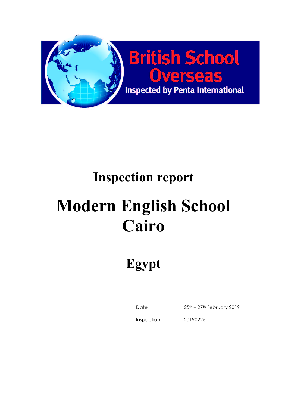

# **Inspection report**

# **Modern English School Cairo**

**Egypt**

Date 25th – 27th February 2019

Inspection

20190225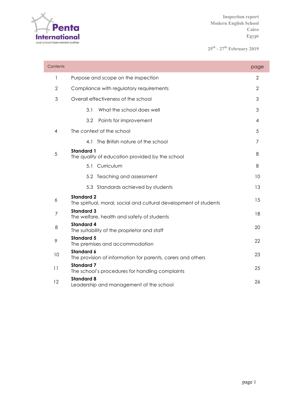

**25th - 27th February 2019**

| Contents       |                                                                                        | page |
|----------------|----------------------------------------------------------------------------------------|------|
| 1              | Purpose and scope on the inspection                                                    | 2    |
| $\overline{2}$ | Compliance with regulatory requirements                                                | 2    |
| 3              | Overall effectiveness of the school                                                    | 3    |
|                | 3.1<br>What the school does well                                                       | 3    |
|                | 3.2<br>Points for improvement                                                          | 4    |
| 4              | The context of the school                                                              | 5    |
|                | The British nature of the school<br>41                                                 | 7    |
| 5              | <b>Standard 1</b><br>The quality of education provided by the school                   | 8    |
|                | 5.1 Curriculum                                                                         | 8    |
|                | 5.2 Teaching and assessment                                                            | 10   |
|                | 5.3 Standards achieved by students                                                     | 13   |
| 6              | <b>Standard 2</b><br>The spiritual, moral, social and cultural development of students | 15   |
| 7              | <b>Standard 3</b><br>The welfare, health and safety of students                        | 18   |
| 8              | <b>Standard 4</b><br>The suitability of the proprietor and staff                       | 20   |
| 9              | <b>Standard 5</b><br>The premises and accommodation                                    | 22   |
| 10             | <b>Standard 6</b><br>The provision of information for parents, carers and others       | 23   |
| 11             | <b>Standard 7</b><br>The school's procedures for handling complaints                   | 25   |
| 12             | <b>Standard 8</b><br>Leadership and management of the school                           | 26   |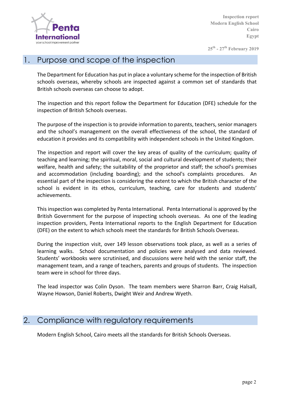

**25th - 27th February 2019**

# 1. Purpose and scope of the inspection

The Department for Education has put in place a voluntary scheme for the inspection of British schools overseas, whereby schools are inspected against a common set of standards that British schools overseas can choose to adopt.

The inspection and this report follow the Department for Education (DFE) schedule for the inspection of British Schools overseas.

The purpose of the inspection is to provide information to parents, teachers, senior managers and the school's management on the overall effectiveness of the school, the standard of education it provides and its compatibility with independent schools in the United Kingdom.

The inspection and report will cover the key areas of quality of the curriculum; quality of teaching and learning; the spiritual, moral, social and cultural development of students; their welfare, health and safety; the suitability of the proprietor and staff; the school's premises and accommodation (including boarding); and the school's complaints procedures. An essential part of the inspection is considering the extent to which the British character of the school is evident in its ethos, curriculum, teaching, care for students and students' achievements.

This inspection was completed by Penta International. Penta International is approved by the British Government for the purpose of inspecting schools overseas. As one of the leading inspection providers, Penta International reports to the English Department for Education (DFE) on the extent to which schools meet the standards for British Schools Overseas.

During the inspection visit, over 149 lesson observations took place, as well as a series of learning walks. School documentation and policies were analysed and data reviewed. Students' workbooks were scrutinised, and discussions were held with the senior staff, the management team, and a range of teachers, parents and groups of students. The inspection team were in school for three days.

The lead inspector was Colin Dyson. The team members were Sharron Barr, Craig Halsall, Wayne Howson, Daniel Roberts, Dwight Weir and Andrew Wyeth.

#### 2. Compliance with regulatory requirements

Modern English School, Cairo meets all the standards for British Schools Overseas.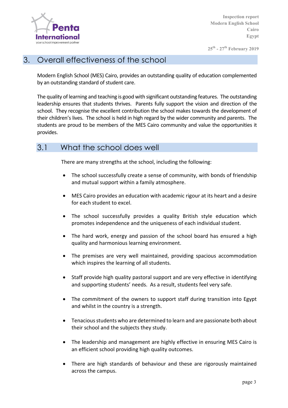

**25th - 27th February 2019**

#### 3. Overall effectiveness of the school

Modern English School (MES) Cairo, provides an outstanding quality of education complemented by an outstanding standard of student care.

The quality of learning and teaching is good with significant outstanding features. The outstanding leadership ensures that students thrives. Parents fully support the vision and direction of the school. They recognise the excellent contribution the school makes towards the development of their children's lives. The school is held in high regard by the wider community and parents. The students are proud to be members of the MES Cairo community and value the opportunities it provides.

#### 3.1 What the school does well

There are many strengths at the school, including the following:

- The school successfully create a sense of community, with bonds of friendship and mutual support within a family atmosphere.
- MES Cairo provides an education with academic rigour at its heart and a desire for each student to excel.
- The school successfully provides a quality British style education which promotes independence and the uniqueness of each individual student.
- The hard work, energy and passion of the school board has ensured a high quality and harmonious learning environment.
- The premises are very well maintained, providing spacious accommodation which inspires the learning of all students.
- Staff provide high quality pastoral support and are very effective in identifying and supporting students' needs. As a result, students feel very safe.
- The commitment of the owners to support staff during transition into Egypt and whilst in the country is a strength.
- Tenacious students who are determined to learn and are passionate both about their school and the subjects they study.
- The leadership and management are highly effective in ensuring MES Cairo is an efficient school providing high quality outcomes.
- There are high standards of behaviour and these are rigorously maintained across the campus.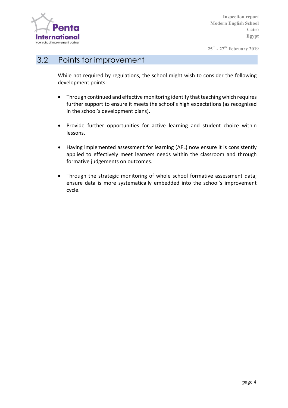

**25th - 27th February 2019**

#### 3.2 Points for improvement

While not required by regulations, the school might wish to consider the following development points:

- Through continued and effective monitoring identify that teaching which requires further support to ensure it meets the school's high expectations (as recognised in the school's development plans).
- Provide further opportunities for active learning and student choice within lessons.
- Having implemented assessment for learning (AFL) now ensure it is consistently applied to effectively meet learners needs within the classroom and through formative judgements on outcomes.
- Through the strategic monitoring of whole school formative assessment data; ensure data is more systematically embedded into the school's improvement cycle.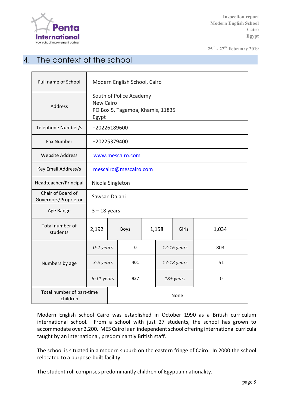

**25th - 27th February 2019**

# 4. The context of the school

| Full name of School                       | Modern English School, Cairo                                                             |  |              |       |             |             |             |  |
|-------------------------------------------|------------------------------------------------------------------------------------------|--|--------------|-------|-------------|-------------|-------------|--|
| <b>Address</b>                            | South of Police Academy<br><b>New Cairo</b><br>PO Box 5, Tagamoa, Khamis, 11835<br>Egypt |  |              |       |             |             |             |  |
| Telephone Number/s                        | +20226189600                                                                             |  |              |       |             |             |             |  |
| <b>Fax Number</b>                         | +20225379400                                                                             |  |              |       |             |             |             |  |
| <b>Website Address</b>                    | www.mescairo.com                                                                         |  |              |       |             |             |             |  |
| Key Email Address/s                       | mescairo@mescairo.com                                                                    |  |              |       |             |             |             |  |
| Headteacher/Principal                     | Nicola Singleton                                                                         |  |              |       |             |             |             |  |
| Chair of Board of<br>Governors/Proprietor | Sawsan Dajani                                                                            |  |              |       |             |             |             |  |
| Age Range                                 | $3 - 18$ years                                                                           |  |              |       |             |             |             |  |
| Total number of<br>students               | 2,192                                                                                    |  | <b>Boys</b>  | 1,158 |             | Girls       | 1,034       |  |
|                                           | 0-2 years                                                                                |  | $\mathbf{0}$ |       |             | 12-16 years | 803         |  |
| Numbers by age                            | 3-5 years                                                                                |  | 401          |       | 17-18 years |             | 51          |  |
|                                           | 6-11 years                                                                               |  | 937          |       | 18+ years   |             | $\mathbf 0$ |  |
| Total number of part-time<br>children     |                                                                                          |  | None         |       |             |             |             |  |

Modern English school Cairo was established in October 1990 as a British curriculum international school. From a school with just 27 students, the school has grown to accommodate over 2,200. MES Cairo is an independent school offering international curricula taught by an international, predominantly British staff.

The school is situated in a modern suburb on the eastern fringe of Cairo. In 2000 the school relocated to a purpose-built facility.

The student roll comprises predominantly children of Egyptian nationality.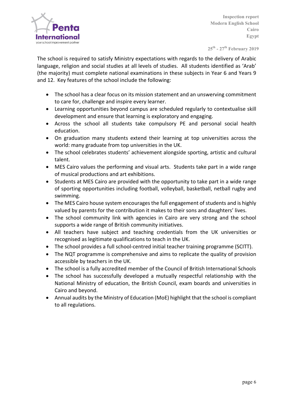

**25th - 27th February 2019**

The school is required to satisfy Ministry expectations with regards to the delivery of Arabic language, religion and social studies at all levels of studies. All students identified as 'Arab' (the majority) must complete national examinations in these subjects in Year 6 and Years 9 and 12. Key features of the school include the following:

- The school has a clear focus on its mission statement and an unswerving commitment to care for, challenge and inspire every learner.
- Learning opportunities beyond campus are scheduled regularly to contextualise skill development and ensure that learning is exploratory and engaging.
- Across the school all students take compulsory PE and personal social health education.
- On graduation many students extend their learning at top universities across the world: many graduate from top universities in the UK.
- The school celebrates students' achievement alongside sporting, artistic and cultural talent.
- MES Cairo values the performing and visual arts. Students take part in a wide range of musical productions and art exhibitions.
- Students at MES Cairo are provided with the opportunity to take part in a wide range of sporting opportunities including football, volleyball, basketball, netball rugby and swimming.
- The MES Cairo house system encourages the full engagement of students and is highly valued by parents for the contribution it makes to their sons and daughters' lives.
- The school community link with agencies in Cairo are very strong and the school supports a wide range of British community initiatives.
- All teachers have subject and teaching credentials from the UK universities or recognised as legitimate qualifications to teach in the UK.
- The school provides a full school-centred initial teacher training programme (SCITT).
- The NQT programme is comprehensive and aims to replicate the quality of provision accessible by teachers in the UK.
- The school is a fully accredited member of the Council of British International Schools
- The school has successfully developed a mutually respectful relationship with the National Ministry of education, the British Council, exam boards and universities in Cairo and beyond.
- Annual audits by the Ministry of Education (MoE) highlight that the school is compliant to all regulations.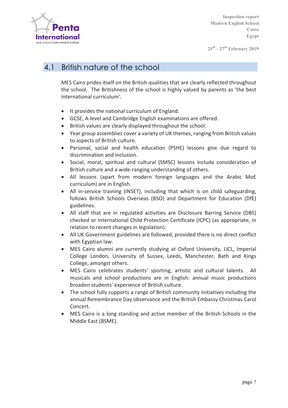

**25th - 27th February 2019**

#### 4.1 British nature of the school

MES Cairo prides itself on the British qualities that are clearly reflected throughout the school. The Britishness of the school is highly valued by parents as 'the best international curriculum'.

- It provides the national curriculum of England.
- GCSE, A-level and Cambridge English examinations are offered.
- British values are clearly displayed throughout the school.
- Year group assemblies cover a variety of UK themes, ranging from British values to aspects of British culture.
- Personal, social and health education (PSHE) lessons give due regard to discrimination and inclusion.
- Social, moral, spiritual and cultural (SMSC) lessons include consideration of British culture and a wide-ranging understanding of others.
- All lessons (apart from modern foreign languages and the Arabic MoE curriculum) are in English.
- All in-service training (INSET), including that which is on child safeguarding, follows British Schools Overseas (BSO) and Department for Education (DfE) guidelines.
- All staff that are in regulated activities are Disclosure Barring Service (DBS) checked or International Child Protection Certificate (ICPC) (as appropriate, in relation to recent changes in legislation).
- All UK Government guidelines are followed, provided there is no direct conflict with Egyptian law.
- MES Cairo alumni are currently studying at Oxford University, UCL, Imperial College London, University of Sussex, Leeds, Manchester, Bath and Kings College, amongst others.
- MES Cairo celebrates students' sporting, artistic and cultural talents. All musicals and school productions are in English: annual music productions broaden students' experience of British culture.
- The school fully supports a range of British community initiatives including the annual Remembrance Day observance and the British Embassy Christmas Carol Concert.
- MES Cairo is a long standing and active member of the British Schools in the Middle East (BSME).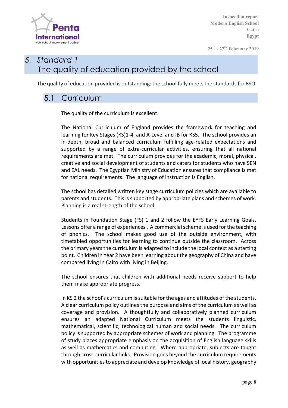

**25th - 27th February 2019**

# *5. Standard 1* The quality of education provided by the school

The quality of education provided is outstanding: the school fully meets the standards for BSO.

#### 5.1 Curriculum

The quality of the curriculum is excellent.

The National Curriculum of England provides the framework for teaching and learning for Key Stages (KS)1-4, and A-Level and IB for KS5. The school provides an in-depth, broad and balanced curriculum fulfilling age-related expectations and supported by a range of extra-curricular activities, ensuring that all national requirements are met. The curriculum provides for the academic, moral, physical, creative and social development of students and caters for students who have SEN and EAL needs. The Egyptian Ministry of Education ensures that compliance is met for national requirements. The language of instruction is English.

The school has detailed written key stage curriculum policies which are available to parents and students. This is supported by appropriate plans and schemes of work. Planning is a real strength of the school.

Students in Foundation Stage (FS) 1 and 2 follow the EYFS Early Learning Goals. Lessons offer a range of experiences . A commercial scheme is used for the teaching of phonics. The school makes good use of the outside environment, with timetabled opportunities for learning to continue outside the classroom. Across the primary years the curriculum is adapted to include the local context as a starting point. Children in Year 2 have been learning about the geography of China and have compared living in Cairo with living in Beijing.

The school ensures that children with additional needs receive support to help them make appropriate progress.

In KS 2 the school's curriculum is suitable for the ages and attitudes of the students. A clear curriculum policy outlines the purpose and aims of the curriculum as well as coverage and provision. A thoughtfully and collaboratively planned curriculum ensures an adapted National Curriculum meets the students linguistic, mathematical, scientific, technological human and social needs. The curriculum policy is supported by appropriate schemes of work and planning. The programme of study places appropriate emphasis on the acquisition of English language skills as well as mathematics and computing. Where appropriate, subjects are taught through cross-curricular links. Provision goes beyond the curriculum requirements with opportunities to appreciate and develop knowledge of local history, geography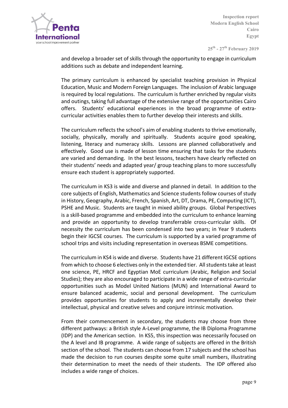

**25th - 27th February 2019**

and develop a broader set of skills through the opportunity to engage in curriculum additions such as debate and independent learning.

The primary curriculum is enhanced by specialist teaching provision in Physical Education, Music and Modern Foreign Languages. The inclusion of Arabic language is required by local regulations. The curriculum is further enriched by regular visits and outings, taking full advantage of the extensive range of the opportunities Cairo offers. Students' educational experiences in the broad programme of extracurricular activities enables them to further develop their interests and skills.

The curriculum reflects the school's aim of enabling students to thrive emotionally, socially, physically, morally and spiritually. Students acquire good speaking, listening, literacy and numeracy skills. Lessons are planned collaboratively and effectively. Good use is made of lesson time ensuring that tasks for the students are varied and demanding. In the best lessons, teachers have clearly reflected on their students' needs and adapted year/ group teaching plans to more successfully ensure each student is appropriately supported.

The curriculum in KS3 is wide and diverse and planned in detail. In addition to the core subjects of English, Mathematics and Science students follow courses of study in History, Geography, Arabic, French, Spanish, Art, DT, Drama, PE, Computing (ICT), PSHE and Music. Students are taught in mixed ability groups. Global Perspectives is a skill-based programme and embedded into the curriculum to enhance learning and provide an opportunity to develop transferrable cross-curricular skills. Of necessity the curriculum has been condensed into two years; in Year 9 students begin their IGCSE courses. The curriculum is supported by a varied programme of school trips and visits including representation in overseas BSME competitions.

The curriculum in KS4 is wide and diverse. Students have 21 different IGCSE options from which to choose 6 electives only in the extended tier. All students take at least one science, PE, HRCF and Egyptian MoE curriculum (Arabic, Religion and Social Studies); they are also encouraged to participate in a wide range of extra-curricular opportunities such as Model United Nations (MUN) and International Award to ensure balanced academic, social and personal development. The curriculum provides opportunities for students to apply and incrementally develop their intellectual, physical and creative selves and conjure intrinsic motivation.

From their commencement in secondary, the students may choose from three different pathways: a British style A-Level programme, the IB Diploma Programme (IDP) and the American section. In KS5, this inspection was necessarily focused on the A level and IB programme. A wide range of subjects are offered in the British section of the school. The students can choose from 17 subjects and the school has made the decision to run courses despite some quite small numbers, illustrating their determination to meet the needs of their students. The IDP offered also includes a wide range of choices.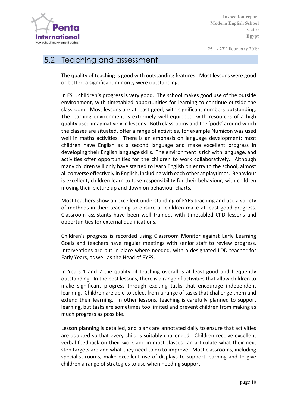

**25th - 27th February 2019**

#### 5.2 Teaching and assessment

The quality of teaching is good with outstanding features. Most lessons were good or better; a significant minority were outstanding.

In FS1, children's progress is very good. The school makes good use of the outside environment, with timetabled opportunities for learning to continue outside the classroom. Most lessons are at least good, with significant numbers outstanding. The learning environment is extremely well equipped, with resources of a high quality used imaginatively in lessons. Both classrooms and the 'pods' around which the classes are situated, offer a range of activities, for example Numicon was used well in maths activities. There is an emphasis on language development; most children have English as a second language and make excellent progress in developing their English language skills. The environment is rich with language, and activities offer opportunities for the children to work collaboratively. Although many children will only have started to learn English on entry to the school, almost all converse effectively in English, including with each other at playtimes. Behaviour is excellent; children learn to take responsibility for their behaviour, with children moving their picture up and down on behaviour charts.

Most teachers show an excellent understanding of EYFS teaching and use a variety of methods in their teaching to ensure all children make at least good progress. Classroom assistants have been well trained, with timetabled CPD lessons and opportunities for external qualifications.

Children's progress is recorded using Classroom Monitor against Early Learning Goals and teachers have regular meetings with senior staff to review progress. Interventions are put in place where needed, with a designated LDD teacher for Early Years, as well as the Head of EYFS.

In Years 1 and 2 the quality of teaching overall is at least good and frequently outstanding. In the best lessons, there is a range of activities that allow children to make significant progress through exciting tasks that encourage independent learning. Children are able to select from a range of tasks that challenge them and extend their learning. In other lessons, teaching is carefully planned to support learning, but tasks are sometimes too limited and prevent children from making as much progress as possible.

Lesson planning is detailed, and plans are annotated daily to ensure that activities are adapted so that every child is suitably challenged. Children receive excellent verbal feedback on their work and in most classes can articulate what their next step targets are and what they need to do to improve. Most classrooms, including specialist rooms, make excellent use of displays to support learning and to give children a range of strategies to use when needing support.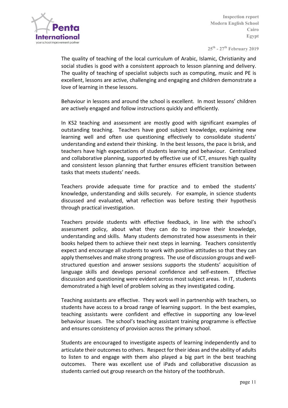

**25th - 27th February 2019**

The quality of teaching of the local curriculum of Arabic, Islamic, Christianity and social studies is good with a consistent approach to lesson planning and delivery. The quality of teaching of specialist subjects such as computing, music and PE is excellent, lessons are active, challenging and engaging and children demonstrate a love of learning in these lessons.

Behaviour in lessons and around the school is excellent. In most lessons' children are actively engaged and follow instructions quickly and efficiently.

In KS2 teaching and assessment are mostly good with significant examples of outstanding teaching. Teachers have good subject knowledge, explaining new learning well and often use questioning effectively to consolidate students' understanding and extend their thinking. In the best lessons, the pace is brisk, and teachers have high expectations of students learning and behaviour. Centralized and collaborative planning, supported by effective use of ICT, ensures high quality and consistent lesson planning that further ensures efficient transition between tasks that meets students' needs.

Teachers provide adequate time for practice and to embed the students' knowledge, understanding and skills securely. For example, in science students discussed and evaluated, what reflection was before testing their hypothesis through practical investigation.

Teachers provide students with effective feedback, in line with the school's assessment policy, about what they can do to improve their knowledge, understanding and skills. Many students demonstrated how assessments in their books helped them to achieve their next steps in learning. Teachers consistently expect and encourage all students to work with positive attitudes so that they can apply themselves and make strong progress. The use of discussion groups and wellstructured question and answer sessions supports the students' acquisition of language skills and develops personal confidence and self-esteem. Effective discussion and questioning were evident across most subject areas. In IT, students demonstrated a high level of problem solving as they investigated coding.

Teaching assistants are effective. They work well in partnership with teachers, so students have access to a broad range of learning support. In the best examples, teaching assistants were confident and effective in supporting any low-level behaviour issues. The school's teaching assistant training programme is effective and ensures consistency of provision across the primary school.

Students are encouraged to investigate aspects of learning independently and to articulate their outcomes to others. Respect for their ideas and the ability of adults to listen to and engage with them also played a big part in the best teaching outcomes. There was excellent use of iPads and collaborative discussion as students carried out group research on the history of the toothbrush.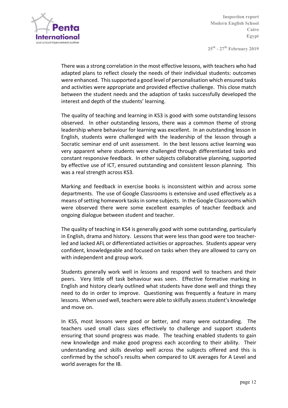

**25th - 27th February 2019**

There was a strong correlation in the most effective lessons, with teachers who had adapted plans to reflect closely the needs of their individual students: outcomes were enhanced. This supported a good level of personalisation which ensured tasks and activities were appropriate and provided effective challenge. This close match between the student needs and the adaption of tasks successfully developed the interest and depth of the students' learning.

The quality of teaching and learning in KS3 is good with some outstanding lessons observed. In other outstanding lessons, there was a common theme of strong leadership where behaviour for learning was excellent. In an outstanding lesson in English, students were challenged with the leadership of the lesson through a Socratic seminar end of unit assessment. In the best lessons active learning was very apparent where students were challenged through differentiated tasks and constant responsive feedback. In other subjects collaborative planning, supported by effective use of ICT, ensured outstanding and consistent lesson planning. This was a real strength across KS3.

Marking and feedback in exercise books is inconsistent within and across some departments. The use of Google Classrooms is extensive and used effectively as a means of setting homework tasks in some subjects. In the Google Classrooms which were observed there were some excellent examples of teacher feedback and ongoing dialogue between student and teacher.

The quality of teaching in KS4 is generally good with some outstanding, particularly in English, drama and history. Lessons that were less than good were too teacherled and lacked AFL or differentiated activities or approaches. Students appear very confident, knowledgeable and focused on tasks when they are allowed to carry on with independent and group work.

Students generally work well in lessons and respond well to teachers and their peers. Very little off task behaviour was seen. Effective formative marking in English and history clearly outlined what students have done well and things they need to do in order to improve. Questioning was frequently a feature in many lessons. When used well, teachers were able to skilfully assess student's knowledge and move on.

In KS5, most lessons were good or better, and many were outstanding. The teachers used small class sizes effectively to challenge and support students ensuring that sound progress was made. The teaching enabled students to gain new knowledge and make good progress each according to their ability. Their understanding and skills develop well across the subjects offered and this is confirmed by the school's results when compared to UK averages for A Level and world averages for the IB.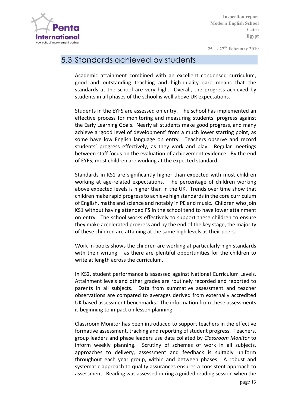

**25th - 27th February 2019**

#### 5.3 Standards achieved by students

Academic attainment combined with an excellent condensed curriculum, good and outstanding teaching and high-quality care means that the standards at the school are very high. Overall, the progress achieved by students in all phases of the school is well above UK expectations.

Students in the EYFS are assessed on entry. The school has implemented an effective process for monitoring and measuring students' progress against the Early Learning Goals. Nearly all students make good progress, and many achieve a 'good level of development' from a much lower starting point, as some have low English language on entry. Teachers observe and record students' progress effectively, as they work and play. Regular meetings between staff focus on the evaluation of achievement evidence. By the end of EYFS, most children are working at the expected standard.

Standards in KS1 are significantly higher than expected with most children working at age-related expectations. The percentage of children working above expected levels is higher than in the UK. Trends over time show that children make rapid progress to achieve high standards in the core curriculum of English, maths and science and notably in PE and music. Children who join KS1 without having attended FS in the school tend to have lower attainment on entry. The school works effectively to support these children to ensure they make accelerated progress and by the end of the key stage, the majority of these children are attaining at the same high levels as their peers.

Work in books shows the children are working at particularly high standards with their writing  $-$  as there are plentiful opportunities for the children to write at length across the curriculum.

In KS2, student performance is assessed against National Curriculum Levels. Attainment levels and other grades are routinely recorded and reported to parents in all subjects. Data from summative assessment and teacher observations are compared to averages derived from externally accredited UK based assessment benchmarks. The information from these assessments is beginning to impact on lesson planning.

Classroom Monitor has been introduced to support teachers in the effective formative assessment, tracking and reporting of student progress. Teachers, group leaders and phase leaders use data collated by *Classroom Monitor* to inform weekly planning. Scrutiny of schemes of work in all subjects, approaches to delivery, assessment and feedback is suitably uniform throughout each year group, within and between phases. A robust and systematic approach to quality assurances ensures a consistent approach to assessment. Reading was assessed during a guided reading session when the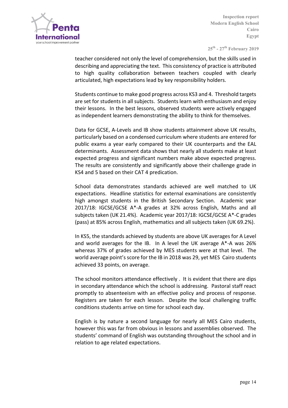

**25th - 27th February 2019**

teacher considered not only the level of comprehension, but the skills used in describing and appreciating the text. This consistency of practice is attributed to high quality collaboration between teachers coupled with clearly articulated, high expectations lead by key responsibility holders.

Students continue to make good progress across KS3 and 4. Threshold targets are set for students in all subjects. Students learn with enthusiasm and enjoy their lessons. In the best lessons, observed students were actively engaged as independent learners demonstrating the ability to think for themselves.

Data for GCSE, A-Levels and IB show students attainment above UK results, particularly based on a condensed curriculum where students are entered for public exams a year early compared to their UK counterparts and the EAL determinants. Assessment data shows that nearly all students make at least expected progress and significant numbers make above expected progress. The results are consistently and significantly above their challenge grade in KS4 and 5 based on their CAT 4 predication.

School data demonstrates standards achieved are well matched to UK expectations. Headline statistics for external examinations are consistently high amongst students in the British Secondary Section. Academic year  $2017/18$ : IGCSE/GCSE A<sup>\*</sup>-A grades at  $32\%$  across English, Maths and all subjects taken (UK 21.4%). Academic year 2017/18: IGCSE/GCSE A\*-C grades (pass) at 85% across English, mathematics and all subjects taken (UK 69.2%).

In KS5, the standards achieved by students are above UK averages for A Level and world averages for the IB. In A level the UK average  $A^*$ -A was 26% whereas 37% of grades achieved by MES students were at that level. The world average point's score for the IB in 2018 was 29, yet MES Cairo students achieved 33 points, on average.

The school monitors attendance effectively . It is evident that there are dips in secondary attendance which the school is addressing. Pastoral staff react promptly to absenteeism with an effective policy and process of response. Registers are taken for each lesson. Despite the local challenging traffic conditions students arrive on time for school each day.

English is by nature a second language for nearly all MES Cairo students, however this was far from obvious in lessons and assemblies observed. The students' command of English was outstanding throughout the school and in relation to age related expectations.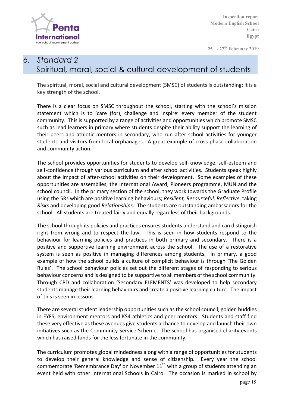

**25th - 27th February 2019**

# *6. Standard 2*  Spiritual, moral, social & cultural development of students

The spiritual, moral, social and cultural development (SMSC) of students is outstanding: it is a key strength of the school.

There is a clear focus on SMSC throughout the school, starting with the school's mission statement which is to 'care (for), challenge and inspire' every member of the student community. This is supported by a range of activities and opportunities which promote SMSC such as lead learners in primary where students despite their ability support the learning of their peers and athletic mentors in secondary, who run after school activities for younger students and visitors from local orphanages. A great example of cross phase collaboration and community action.

The school provides opportunities for students to develop self-knowledge, self-esteem and self-confidence through various curriculum and after school activities. Students speak highly about the impact of after-school activities on their development. Some examples of these opportunities are assemblies, the International Award, Pioneers programme, MUN and the school council. In the primary section of the school, they work towards the Graduate Profile using the 5Rs which are positive learning behaviours; *Resilient, Resourceful, Reflective*, taking *Risks* and developing good *Relationships*. The students are outstanding ambassadors for the school. All students are treated fairly and equally regardless of their backgrounds.

The school through its policies and practices ensures students understand and can distinguish right from wrong and to respect the law. This is seen in how students respond to the behaviour for learning policies and practices in both primary and secondary. There is a positive and supportive learning environment across the school. The use of a restorative system is seen as positive in managing differences among students. In primary, a good example of how the school builds a culture of complicit behaviour is through 'The Golden Rules'. The school behaviour policies set out the different stages of responding to serious behaviour concerns and is designed to be supportive to all members of the school community. Through CPD and collaboration 'Secondary ELEMENTS' was developed to help secondary students manage their learning behaviours and create a positive learning culture. The impact of this is seen in lessons.

There are several student leadership opportunities such as the school council, golden buddies in EYFS, environment mentors and KS4 athletics and peer mentors. Students and staff find these very effective as these avenues give students a chance to develop and launch their own initiatives such as the Community Service Scheme. The school has organised charity events which has raised funds for the less fortunate in the community.

The curriculum promotes global mindedness along with a range of opportunities for students to develop their general knowledge and sense of citizenship. Every year the school commemorate 'Remembrance Day' on November  $11<sup>th</sup>$  with a group of students attending an event held with other International Schools in Cairo. The occasion is marked in school by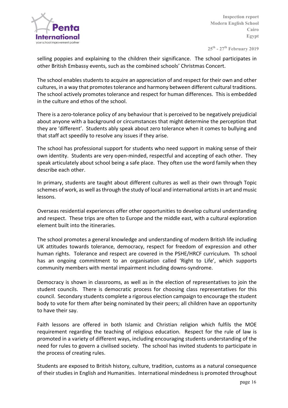

**25th - 27th February 2019**

selling poppies and explaining to the children their significance. The school participates in other British Embassy events, such as the combined schools' Christmas Concert.

The school enables students to acquire an appreciation of and respect for their own and other cultures, in a way that promotes tolerance and harmony between different cultural traditions. The school actively promotes tolerance and respect for human differences. This is embedded in the culture and ethos of the school.

There is a zero-tolerance policy of any behaviour that is perceived to be negatively prejudicial about anyone with a background or circumstances that might determine the perception that they are 'different'. Students ably speak about zero tolerance when it comes to bullying and that staff act speedily to resolve any issues if they arise.

The school has professional support for students who need support in making sense of their own identity. Students are very open-minded, respectful and accepting of each other. They speak articulately about school being a safe place. They often use the word family when they describe each other.

In primary, students are taught about different cultures as well as their own through Topic schemes of work, as well as through the study of local and international artists in art and music lessons.

Overseas residential experiences offer other opportunities to develop cultural understanding and respect. These trips are often to Europe and the middle east, with a cultural exploration element built into the itineraries.

The school promotes a general knowledge and understanding of modern British life including UK attitudes towards tolerance, democracy, respect for freedom of expression and other human rights. Tolerance and respect are covered in the PSHE/HRCF curriculum. Th school has an ongoing commitment to an organisation called 'Right to Life', which supports community members with mental impairment including downs-syndrome.

Democracy is shown in classrooms, as well as in the election of representatives to join the student councils. There is democratic process for choosing class representatives for this council. Secondary students complete a rigorous election campaign to encourage the student body to vote for them after being nominated by their peers; all children have an opportunity to have their say.

Faith lessons are offered in both Islamic and Christian religion which fulfils the MOE requirement regarding the teaching of religious education. Respect for the rule of law is promoted in a variety of different ways, including encouraging students understanding of the need for rules to govern a civilised society. The school has invited students to participate in the process of creating rules.

Students are exposed to British history, culture, tradition, customs as a natural consequence of their studies in English and Humanities. International mindedness is promoted throughout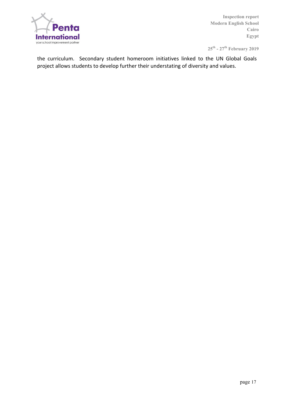

**25th - 27th February 2019**

the curriculum. Secondary student homeroom initiatives linked to the UN Global Goals project allows students to develop further their understating of diversity and values.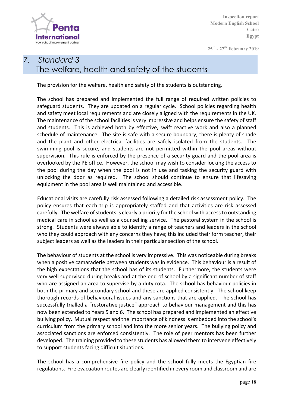

**25th - 27th February 2019**

# *7. Standard 3* The welfare, health and safety of the students

The provision for the welfare, health and safety of the students is outstanding.

The school has prepared and implemented the full range of required written policies to safeguard students. They are updated on a regular cycle. School policies regarding health and safety meet local requirements and are closely aligned with the requirements in the UK. The maintenance of the school facilities is very impressive and helps ensure the safety of staff and students. This is achieved both by effective, swift reactive work and also a planned schedule of maintenance. The site is safe with a secure boundary, there is plenty of shade and the plant and other electrical facilities are safely isolated from the students. The swimming pool is secure, and students are not permitted within the pool areas without supervision. This rule is enforced by the presence of a security guard and the pool area is overlooked by the PE office. However, the school may wish to consider locking the access to the pool during the day when the pool is not in use and tasking the security guard with unlocking the door as required. The school should continue to ensure that lifesaving equipment in the pool area is well maintained and accessible.

Educational visits are carefully risk assessed following a detailed risk assessment policy. The policy ensures that each trip is appropriately staffed and that activities are risk assessed carefully. The welfare of students is clearly a priority for the school with access to outstanding medical care in school as well as a counselling service. The pastoral system in the school is strong. Students were always able to identify a range of teachers and leaders in the school who they could approach with any concerns they have; this included their form teacher, their subject leaders as well as the leaders in their particular section of the school.

The behaviour of students at the school is very impressive. This was noticeable during breaks when a positive camaraderie between students was in evidence. This behaviour is a result of the high expectations that the school has of its students. Furthermore, the students were very well supervised during breaks and at the end of school by a significant number of staff who are assigned an area to supervise by a duty rota. The school has behaviour policies in both the primary and secondary school and these are applied consistently. The school keep thorough records of behavioural issues and any sanctions that are applied. The school has successfully trialled a "restorative justice" approach to behaviour management and this has now been extended to Years 5 and 6. The school has prepared and implemented an effective bullying policy. Mutual respect and the importance of kindness is embedded into the school's curriculum from the primary school and into the more senior years. The bullying policy and associated sanctions are enforced consistently. The role of peer mentors has been further developed. The training provided to these students has allowed them to intervene effectively to support students facing difficult situations.

The school has a comprehensive fire policy and the school fully meets the Egyptian fire regulations. Fire evacuation routes are clearly identified in every room and classroom and are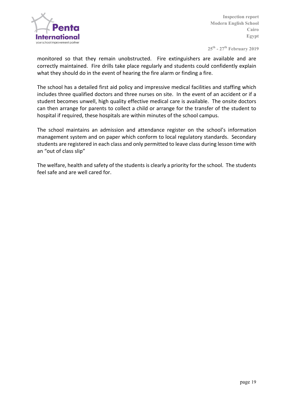

**25th - 27th February 2019**

monitored so that they remain unobstructed. Fire extinguishers are available and are correctly maintained. Fire drills take place regularly and students could confidently explain what they should do in the event of hearing the fire alarm or finding a fire.

The school has a detailed first aid policy and impressive medical facilities and staffing which includes three qualified doctors and three nurses on site. In the event of an accident or if a student becomes unwell, high quality effective medical care is available. The onsite doctors can then arrange for parents to collect a child or arrange for the transfer of the student to hospital if required, these hospitals are within minutes of the school campus.

The school maintains an admission and attendance register on the school's information management system and on paper which conform to local regulatory standards. Secondary students are registered in each class and only permitted to leave class during lesson time with an "out of class slip"

The welfare, health and safety of the students is clearly a priority for the school. The students feel safe and are well cared for.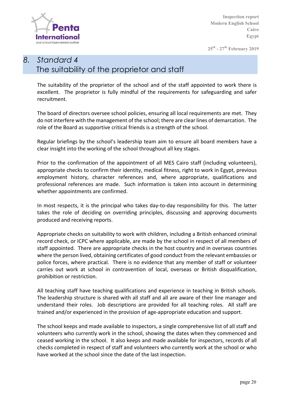

**25th - 27th February 2019**

### *8. Standard 4* The suitability of the proprietor and staff

The suitability of the proprietor of the school and of the staff appointed to work there is excellent. The proprietor is fully mindful of the requirements for safeguarding and safer recruitment. 

The board of directors oversee school policies, ensuring all local requirements are met. They do not interfere with the management of the school; there are clear lines of demarcation. The role of the Board as supportive critical friends is a strength of the school.

Regular briefings by the school's leadership team aim to ensure all board members have a clear insight into the working of the school throughout all key stages.

Prior to the confirmation of the appointment of all MES Cairo staff (including volunteers), appropriate checks to confirm their identity, medical fitness, right to work in Egypt, previous employment history, character references and, where appropriate, qualifications and professional references are made. Such information is taken into account in determining whether appointments are confirmed.

In most respects, it is the principal who takes day-to-day responsibility for this. The latter takes the role of deciding on overriding principles, discussing and approving documents produced and receiving reports.

Appropriate checks on suitability to work with children, including a British enhanced criminal record check, or ICPC where applicable, are made by the school in respect of all members of staff appointed. There are appropriate checks in the host country and in overseas countries where the person lived, obtaining certificates of good conduct from the relevant embassies or police forces, where practical. There is no evidence that any member of staff or volunteer carries out work at school in contravention of local, overseas or British disqualification, prohibition or restriction.

All teaching staff have teaching qualifications and experience in teaching in British schools. The leadership structure is shared with all staff and all are aware of their line manager and understand their roles. Job descriptions are provided for all teaching roles. All staff are trained and/or experienced in the provision of age-appropriate education and support.

The school keeps and made available to inspectors, a single comprehensive list of all staff and volunteers who currently work in the school, showing the dates when they commenced and ceased working in the school. It also keeps and made available for inspectors, records of all checks completed in respect of staff and volunteers who currently work at the school or who have worked at the school since the date of the last inspection.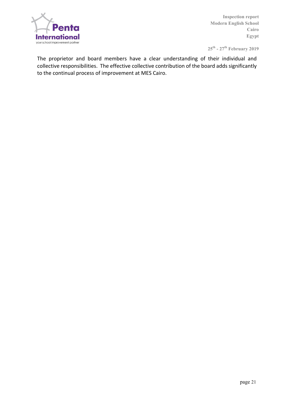

**25th - 27th February 2019**

The proprietor and board members have a clear understanding of their individual and collective responsibilities. The effective collective contribution of the board adds significantly to the continual process of improvement at MES Cairo.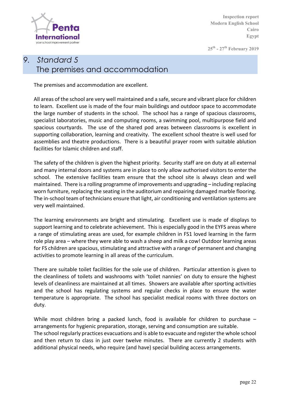

**25th - 27th February 2019**

# *9. Standard 5* The premises and accommodation

The premises and accommodation are excellent.

All areas of the school are very well maintained and a safe, secure and vibrant place for children to learn. Excellent use is made of the four main buildings and outdoor space to accommodate the large number of students in the school. The school has a range of spacious classrooms, specialist laboratories, music and computing rooms, a swimming pool, multipurpose field and spacious courtyards. The use of the shared pod areas between classrooms is excellent in supporting collaboration, learning and creativity. The excellent school theatre is well used for assemblies and theatre productions. There is a beautiful prayer room with suitable ablution facilities for Islamic children and staff.

The safety of the children is given the highest priority. Security staff are on duty at all external and many internal doors and systems are in place to only allow authorised visitors to enter the school. The extensive facilities team ensure that the school site is always clean and well maintained. There is a rolling programme of improvements and upgrading – including replacing worn furniture, replacing the seating in the auditorium and repairing damaged marble flooring. The in-school team of technicians ensure that light, air conditioning and ventilation systems are very well maintained.

The learning environments are bright and stimulating. Excellent use is made of displays to support learning and to celebrate achievement. This is especially good in the EYFS areas where a range of stimulating areas are used, for example children in FS1 loved learning in the farm role play area – where they were able to wash a sheep and milk a cow! Outdoor learning areas for FS children are spacious, stimulating and attractive with a range of permanent and changing activities to promote learning in all areas of the curriculum.

There are suitable toilet facilities for the sole use of children. Particular attention is given to the cleanliness of toilets and washrooms with 'toilet nannies' on duty to ensure the highest levels of cleanliness are maintained at all times. Showers are available after sporting activities and the school has regulating systems and regular checks in place to ensure the water temperature is appropriate. The school has specialist medical rooms with three doctors on duty. 

While most children bring a packed lunch, food is available for children to purchase  $$ arrangements for hygienic preparation, storage, serving and consumption are suitable. The school regularly practices evacuations and is able to evacuate and register the whole school and then return to class in just over twelve minutes. There are currently 2 students with additional physical needs, who require (and have) special building access arrangements.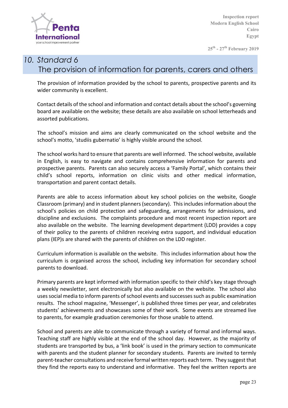

**25th - 27th February 2019**

# *10. Standard 6* The provision of information for parents, carers and others

The provision of information provided by the school to parents, prospective parents and its wider community is excellent.

Contact details of the school and information and contact details about the school's governing board are available on the website; these details are also available on school letterheads and assorted publications.

The school's mission and aims are clearly communicated on the school website and the school's motto, 'studiis gubernatio' is highly visible around the school.

The school works hard to ensure that parents are well informed. The school website, available in English, is easy to navigate and contains comprehensive information for parents and prospective parents. Parents can also securely access a 'Family Portal', which contains their child's school reports, information on clinic visits and other medical information, transportation and parent contact details.

Parents are able to access information about key school policies on the website, Google Classroom (primary) and in student planners (secondary). This includes information about the school's policies on child protection and safeguarding, arrangements for admissions, and discipline and exclusions. The complaints procedure and most recent inspection report are also available on the website. The learning development department (LDD) provides a copy of their policy to the parents of children receiving extra support, and individual education plans (IEP)s are shared with the parents of children on the LDD register.

Curriculum information is available on the website. This includes information about how the curriculum is organised across the school, including key information for secondary school parents to download.

Primary parents are kept informed with information specific to their child's key stage through a weekly newsletter, sent electronically but also available on the website. The school also uses social media to inform parents of school events and successes such as public examination results. The school magazine, 'Messenger', is published three times per year, and celebrates students' achievements and showcases some of their work. Some events are streamed live to parents, for example graduation ceremonies for those unable to attend.

School and parents are able to communicate through a variety of formal and informal ways. Teaching staff are highly visible at the end of the school day. However, as the majority of students are transported by bus, a 'link book' is used in the primary section to communicate with parents and the student planner for secondary students. Parents are invited to termly parent-teacher consultations and receive formal written reports each term. They suggest that they find the reports easy to understand and informative. They feel the written reports are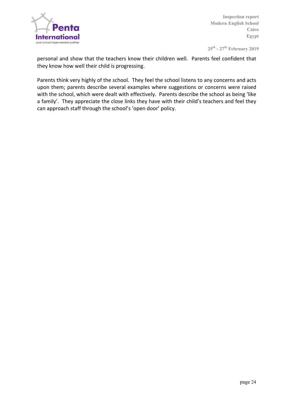

**25th - 27th February 2019**

personal and show that the teachers know their children well. Parents feel confident that they know how well their child is progressing.

Parents think very highly of the school. They feel the school listens to any concerns and acts upon them; parents describe several examples where suggestions or concerns were raised with the school, which were dealt with effectively. Parents describe the school as being 'like a family'. They appreciate the close links they have with their child's teachers and feel they can approach staff through the school's 'open door' policy.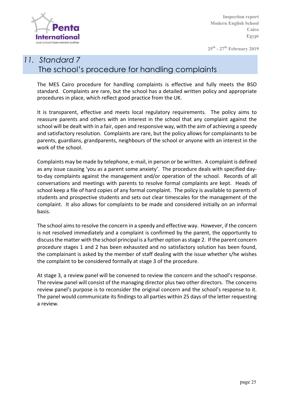

**25th - 27th February 2019**

# *11. Standard 7* The school's procedure for handling complaints

The MES Cairo procedure for handling complaints is effective and fully meets the BSO standard. Complaints are rare, but the school has a detailed written policy and appropriate procedures in place, which reflect good practice from the UK.

It is transparent, effective and meets local regulatory requirements. The policy aims to reassure parents and others with an interest in the school that any complaint against the school will be dealt with in a fair, open and responsive way, with the aim of achieving a speedy and satisfactory resolution. Complaints are rare, but the policy allows for complainants to be parents, guardians, grandparents, neighbours of the school or anyone with an interest in the work of the school.

Complaints may be made by telephone, e-mail, in person or be written. A complaint is defined as any issue causing 'you as a parent some anxiety'. The procedure deals with specified dayto-day complaints against the management and/or operation of the school. Records of all conversations and meetings with parents to resolve formal complaints are kept. Heads of school keep a file of hard copies of any formal complaint. The policy is available to parents of students and prospective students and sets out clear timescales for the management of the complaint. It also allows for complaints to be made and considered initially on an informal basis. 

The school aims to resolve the concern in a speedy and effective way. However, if the concern is not resolved immediately and a complaint is confirmed by the parent, the opportunity to discuss the matter with the school principal is a further option as stage 2. If the parent concern procedure stages 1 and 2 has been exhausted and no satisfactory solution has been found, the complainant is asked by the member of staff dealing with the issue whether s/he wishes the complaint to be considered formally at stage 3 of the procedure.

At stage 3, a review panel will be convened to review the concern and the school's response. The review panel will consist of the managing director plus two other directors. The concerns review panel's purpose is to reconsider the original concern and the school's response to it. The panel would communicate its findings to all parties within 25 days of the letter requesting a review.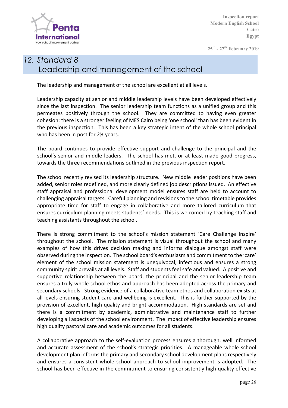

**25th - 27th February 2019**

# *12. Standard 8* Leadership and management of the school

The leadership and management of the school are excellent at all levels.

Leadership capacity at senior and middle leadership levels have been developed effectively since the last inspection. The senior leadership team functions as a unified group and this permeates positively through the school. They are committed to having even greater cohesion: there is a stronger feeling of MES Cairo being 'one school' than has been evident in the previous inspection. This has been a key strategic intent of the whole school principal who has been in post for  $2\frac{1}{2}$  years.

The board continues to provide effective support and challenge to the principal and the school's senior and middle leaders. The school has met, or at least made good progress, towards the three recommendations outlined in the previous inspection report.

The school recently revised its leadership structure. New middle leader positions have been added, senior roles redefined, and more clearly defined job descriptions issued. An effective staff appraisal and professional development model ensures staff are held to account to challenging appraisal targets. Careful planning and revisions to the school timetable provides appropriate time for staff to engage in collaborative and more tailored curriculum that ensures curriculum planning meets students' needs. This is welcomed by teaching staff and teaching assistants throughout the school.

There is strong commitment to the school's mission statement 'Care Challenge Inspire' throughout the school. The mission statement is visual throughout the school and many examples of how this drives decision making and informs dialogue amongst staff were observed during the inspection. The school board's enthusiasm and commitment to the 'care' element of the school mission statement is unequivocal, infectious and ensures a strong community spirit prevails at all levels. Staff and students feel safe and valued. A positive and supportive relationship between the board, the principal and the senior leadership team ensures a truly whole school ethos and approach has been adopted across the primary and secondary schools. Strong evidence of a collaborative team ethos and collaboration exists at all levels ensuring student care and wellbeing is excellent. This is further supported by the provision of excellent, high quality and bright accommodation. High standards are set and there is a commitment by academic, administrative and maintenance staff to further developing all aspects of the school environment. The impact of effective leadership ensures high quality pastoral care and academic outcomes for all students.

A collaborative approach to the self-evaluation process ensures a thorough, well informed and accurate assessment of the school's strategic priorities. A manageable whole school development plan informs the primary and secondary school development plans respectively and ensures a consistent whole school approach to school improvement is adopted. The school has been effective in the commitment to ensuring consistently high-quality effective